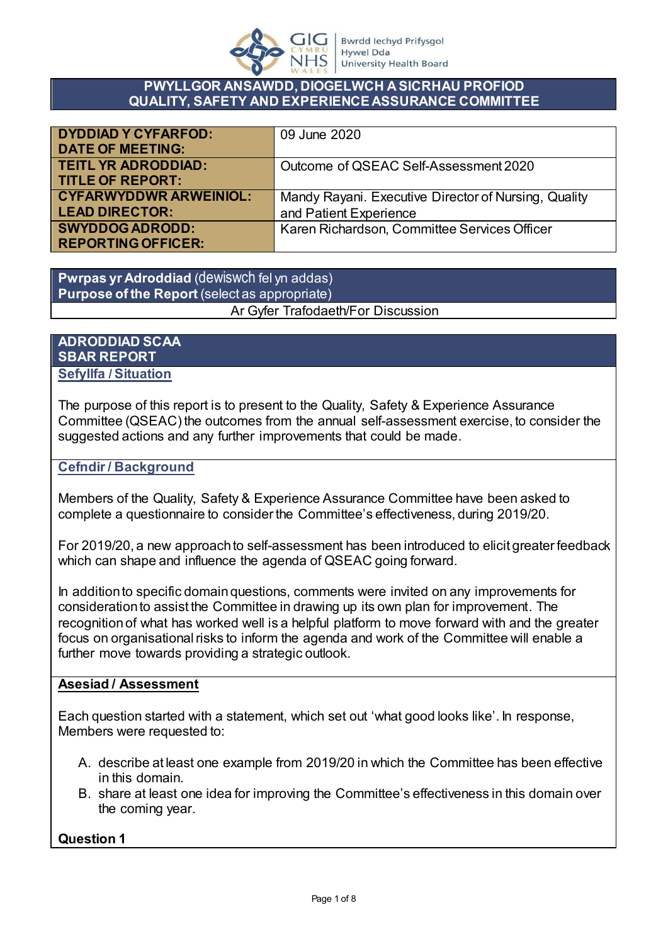

#### **PWYLLGOR ANSAWDD, DIOGELWCH A SICRHAU PROFIOD QUALITY, SAFETY AND EXPERIENCE ASSURANCE COMMITTEE**

| <b>DYDDIAD Y CYFARFOD:</b>    | 09 June 2020                                         |
|-------------------------------|------------------------------------------------------|
| <b>DATE OF MEETING:</b>       |                                                      |
| <b>TEITL YR ADRODDIAD:</b>    | Outcome of QSEAC Self-Assessment 2020                |
| <b>TITLE OF REPORT:</b>       |                                                      |
| <b>CYFARWYDDWR ARWEINIOL:</b> | Mandy Rayani. Executive Director of Nursing, Quality |
| <b>LEAD DIRECTOR:</b>         | and Patient Experience                               |
| <b>SWYDDOG ADRODD:</b>        | Karen Richardson, Committee Services Officer         |
| <b>REPORTING OFFICER:</b>     |                                                      |

**Pwrpas yr Adroddiad** (dewiswch fel yn addas) **Purpose of the Report** (select as appropriate) Ar Gyfer Trafodaeth/For Discussion

**ADRODDIAD SCAA SBAR REPORT Sefyllfa / Situation** 

The purpose of this report is to present to the Quality, Safety & Experience Assurance Committee (QSEAC) the outcomes from the annual self-assessment exercise, to consider the suggested actions and any further improvements that could be made.

#### **Cefndir / Background**

Members of the Quality, Safety & Experience Assurance Committee have been asked to complete a questionnaire to consider the Committee's effectiveness, during 2019/20.

For 2019/20, a new approach to self-assessment has been introduced to elicit greater feedback which can shape and influence the agenda of QSEAC going forward.

In addition to specific domain questions, comments were invited on any improvements for consideration to assist the Committee in drawing up its own plan for improvement. The recognition of what has worked well is a helpful platform to move forward with and the greater focus on organisational risks to inform the agenda and work of the Committee will enable a further move towards providing a strategic outlook.

#### **Asesiad / Assessment**

Each question started with a statement, which set out 'what good looks like'. In response, Members were requested to:

- A. describe at least one example from 2019/20 in which the Committee has been effective in this domain.
- B. share at least one idea for improving the Committee's effectiveness in this domain over the coming year.

**Question 1**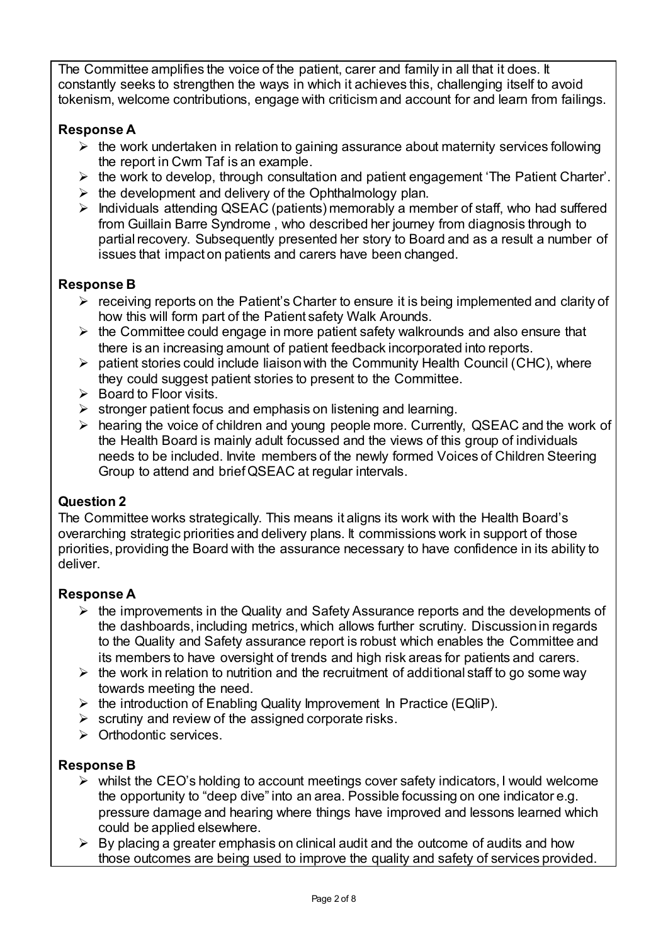The Committee amplifies the voice of the patient, carer and family in all that it does. It constantly seeks to strengthen the ways in which it achieves this, challenging itself to avoid tokenism, welcome contributions, engage with criticism and account for and learn from failings.

# **Response A**

- $\triangleright$  the work undertaken in relation to gaining assurance about maternity services following the report in Cwm Taf is an example.
- $\triangleright$  the work to develop, through consultation and patient engagement 'The Patient Charter'.
- $\triangleright$  the development and delivery of the Ophthalmology plan.
- $\triangleright$  Individuals attending QSEAC (patients) memorably a member of staff, who had suffered from Guillain Barre Syndrome , who described her journey from diagnosis through to partial recovery. Subsequently presented her story to Board and as a result a number of issues that impact on patients and carers have been changed.

## **Response B**

- $\triangleright$  receiving reports on the Patient's Charter to ensure it is being implemented and clarity of how this will form part of the Patient safety Walk Arounds.
- $\triangleright$  the Committee could engage in more patient safety walkrounds and also ensure that there is an increasing amount of patient feedback incorporated into reports.
- $\triangleright$  patient stories could include liaison with the Community Health Council (CHC), where they could suggest patient stories to present to the Committee.
- $\triangleright$  Board to Floor visits.
- $\triangleright$  stronger patient focus and emphasis on listening and learning.
- hearing the voice of children and young people more. Currently, QSEAC and the work of the Health Board is mainly adult focussed and the views of this group of individuals needs to be included. Invite members of the newly formed Voices of Children Steering Group to attend and brief QSEAC at regular intervals.

### **Question 2**

The Committee works strategically. This means it aligns its work with the Health Board's overarching strategic priorities and delivery plans. It commissions work in support of those priorities, providing the Board with the assurance necessary to have confidence in its ability to deliver.

### **Response A**

- $\triangleright$  the improvements in the Quality and Safety Assurance reports and the developments of the dashboards, including metrics, which allows further scrutiny. Discussion in regards to the Quality and Safety assurance report is robust which enables the Committee and its members to have oversight of trends and high risk areas for patients and carers.
- $\triangleright$  the work in relation to nutrition and the recruitment of additional staff to go some way towards meeting the need.
- $\triangleright$  the introduction of Enabling Quality Improvement In Practice (EQIIP).
- $\triangleright$  scrutiny and review of the assigned corporate risks.
- $\triangleright$  Orthodontic services.

### **Response B**

- $\triangleright$  whilst the CEO's holding to account meetings cover safety indicators, I would welcome the opportunity to "deep dive" into an area. Possible focussing on one indicator e.g. pressure damage and hearing where things have improved and lessons learned which could be applied elsewhere.
- $\triangleright$  By placing a greater emphasis on clinical audit and the outcome of audits and how those outcomes are being used to improve the quality and safety of services provided.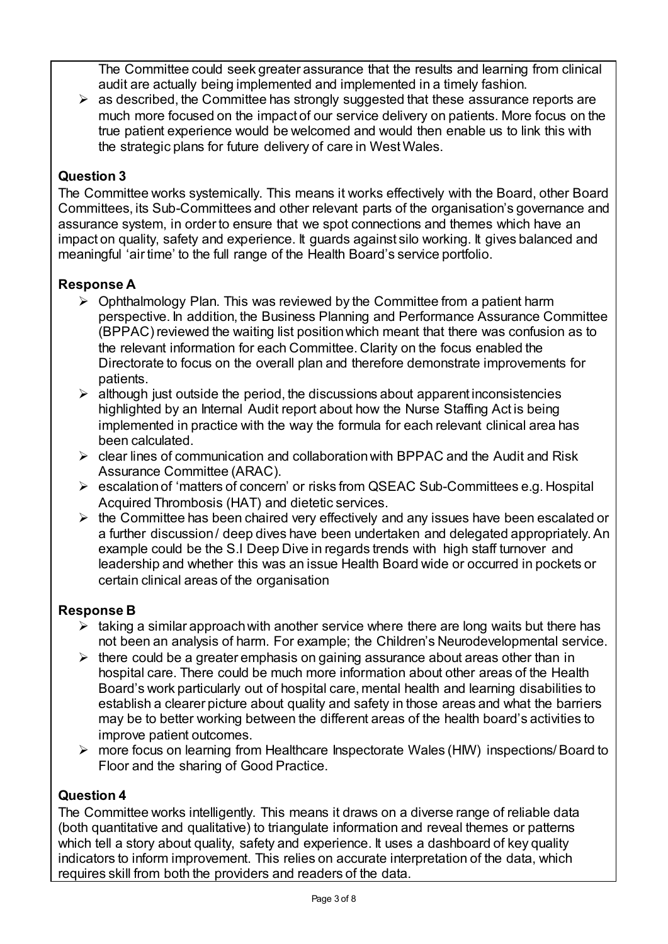The Committee could seek greater assurance that the results and learning from clinical audit are actually being implemented and implemented in a timely fashion.

 $\triangleright$  as described, the Committee has strongly suggested that these assurance reports are much more focused on the impact of our service delivery on patients. More focus on the true patient experience would be welcomed and would then enable us to link this with the strategic plans for future delivery of care in West Wales.

# **Question 3**

The Committee works systemically. This means it works effectively with the Board, other Board Committees, its Sub-Committees and other relevant parts of the organisation's governance and assurance system, in order to ensure that we spot connections and themes which have an impact on quality, safety and experience. It guards against silo working. It gives balanced and meaningful 'air time' to the full range of the Health Board's service portfolio.

## **Response A**

- $\triangleright$  Ophthalmology Plan. This was reviewed by the Committee from a patient harm perspective. In addition, the Business Planning and Performance Assurance Committee (BPPAC) reviewed the waiting list position which meant that there was confusion as to the relevant information for each Committee. Clarity on the focus enabled the Directorate to focus on the overall plan and therefore demonstrate improvements for patients.
- $\triangleright$  although just outside the period, the discussions about apparent inconsistencies highlighted by an Internal Audit report about how the Nurse Staffing Act is being implemented in practice with the way the formula for each relevant clinical area has been calculated.
- $\triangleright$  clear lines of communication and collaboration with BPPAC and the Audit and Risk Assurance Committee (ARAC).
- escalation of 'matters of concern' or risks from QSEAC Sub-Committees e.g. Hospital Acquired Thrombosis (HAT) and dietetic services.
- $\triangleright$  the Committee has been chaired very effectively and any issues have been escalated or a further discussion / deep dives have been undertaken and delegated appropriately. An example could be the S.I Deep Dive in regards trends with high staff turnover and leadership and whether this was an issue Health Board wide or occurred in pockets or certain clinical areas of the organisation

### **Response B**

- $\triangleright$  taking a similar approach with another service where there are long waits but there has not been an analysis of harm. For example; the Children's Neurodevelopmental service.
- $\triangleright$  there could be a greater emphasis on gaining assurance about areas other than in hospital care. There could be much more information about other areas of the Health Board's work particularly out of hospital care, mental health and learning disabilities to establish a clearer picture about quality and safety in those areas and what the barriers may be to better working between the different areas of the health board's activities to improve patient outcomes.
- more focus on learning from Healthcare Inspectorate Wales (HIW) inspections/ Board to Floor and the sharing of Good Practice.

### **Question 4**

The Committee works intelligently. This means it draws on a diverse range of reliable data (both quantitative and qualitative) to triangulate information and reveal themes or patterns which tell a story about quality, safety and experience. It uses a dashboard of key quality indicators to inform improvement. This relies on accurate interpretation of the data, which requires skill from both the providers and readers of the data.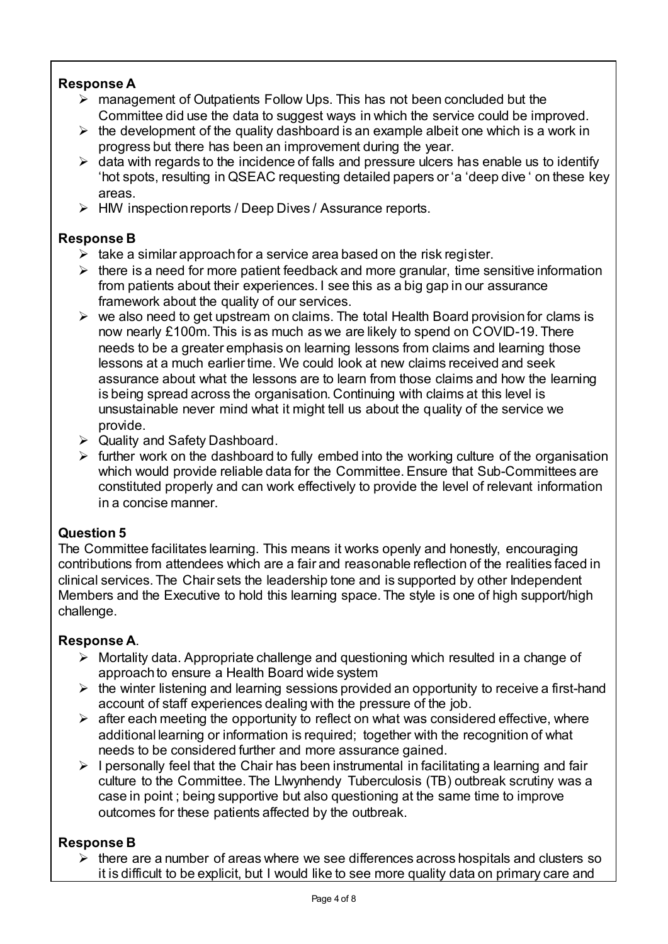## **Response A**

- management of Outpatients Follow Ups. This has not been concluded but the Committee did use the data to suggest ways in which the service could be improved.
- $\triangleright$  the development of the quality dashboard is an example albeit one which is a work in progress but there has been an improvement during the year.
- $\triangleright$  data with regards to the incidence of falls and pressure ulcers has enable us to identify 'hot spots, resulting in QSEAC requesting detailed papers or 'a 'deep dive ' on these key areas.
- $\triangleright$  HIW inspection reports / Deep Dives / Assurance reports.

### **Response B**

- $\triangleright$  take a similar approach for a service area based on the risk register.
- $\triangleright$  there is a need for more patient feedback and more granular, time sensitive information from patients about their experiences. I see this as a big gap in our assurance framework about the quality of our services.
- $\triangleright$  we also need to get upstream on claims. The total Health Board provision for clams is now nearly £100m. This is as much as we are likely to spend on COVID-19. There needs to be a greater emphasis on learning lessons from claims and learning those lessons at a much earlier time. We could look at new claims received and seek assurance about what the lessons are to learn from those claims and how the learning is being spread across the organisation. Continuing with claims at this level is unsustainable never mind what it might tell us about the quality of the service we provide.
- Quality and Safety Dashboard.
- $\triangleright$  further work on the dashboard to fully embed into the working culture of the organisation which would provide reliable data for the Committee. Ensure that Sub-Committees are constituted properly and can work effectively to provide the level of relevant information in a concise manner.

### **Question 5**

The Committee facilitates learning. This means it works openly and honestly, encouraging contributions from attendees which are a fair and reasonable reflection of the realities faced in clinical services. The Chair sets the leadership tone and is supported by other Independent Members and the Executive to hold this learning space. The style is one of high support/high challenge.

### **Response A**.

- $\triangleright$  Mortality data. Appropriate challenge and questioning which resulted in a change of approach to ensure a Health Board wide system
- $\triangleright$  the winter listening and learning sessions provided an opportunity to receive a first-hand account of staff experiences dealing with the pressure of the job.
- $\triangleright$  after each meeting the opportunity to reflect on what was considered effective, where additional learning or information is required; together with the recognition of what needs to be considered further and more assurance gained.
- $\triangleright$  I personally feel that the Chair has been instrumental in facilitating a learning and fair culture to the Committee. The Llwynhendy Tuberculosis (TB) outbreak scrutiny was a case in point ; being supportive but also questioning at the same time to improve outcomes for these patients affected by the outbreak.

# **Response B**

 $\triangleright$  there are a number of areas where we see differences across hospitals and clusters so it is difficult to be explicit, but I would like to see more quality data on primary care and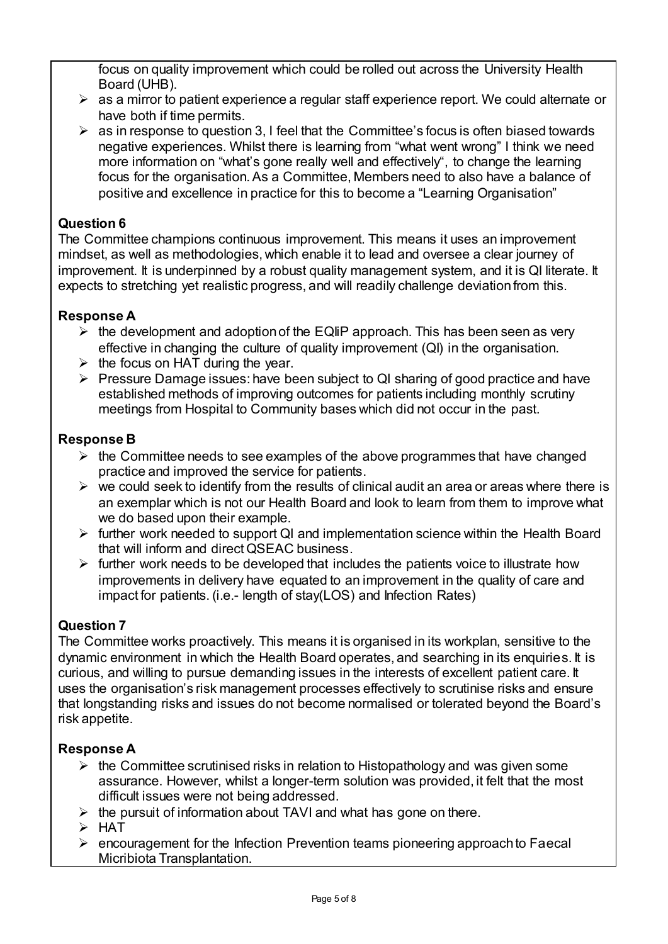focus on quality improvement which could be rolled out across the University Health Board (UHB).

- $\triangleright$  as a mirror to patient experience a regular staff experience report. We could alternate or have both if time permits.
- $\triangleright$  as in response to question 3, I feel that the Committee's focus is often biased towards negative experiences. Whilst there is learning from "what went wrong" I think we need more information on "what's gone really well and effectively", to change the learning focus for the organisation. As a Committee, Members need to also have a balance of positive and excellence in practice for this to become a "Learning Organisation"

### **Question 6**

The Committee champions continuous improvement. This means it uses an improvement mindset, as well as methodologies, which enable it to lead and oversee a clear journey of improvement. It is underpinned by a robust quality management system, and it is QI literate. It expects to stretching yet realistic progress, and will readily challenge deviation from this.

#### **Response A**

- $\triangleright$  the development and adoption of the EQIIP approach. This has been seen as very effective in changing the culture of quality improvement (QI) in the organisation.
- $\triangleright$  the focus on HAT during the year.
- $\triangleright$  Pressure Damage issues: have been subject to QI sharing of good practice and have established methods of improving outcomes for patients including monthly scrutiny meetings from Hospital to Community bases which did not occur in the past.

#### **Response B**

- $\triangleright$  the Committee needs to see examples of the above programmes that have changed practice and improved the service for patients.
- $\triangleright$  we could seek to identify from the results of clinical audit an area or areas where there is an exemplar which is not our Health Board and look to learn from them to improve what we do based upon their example.
- $\triangleright$  further work needed to support QI and implementation science within the Health Board that will inform and direct QSEAC business.
- $\triangleright$  further work needs to be developed that includes the patients voice to illustrate how improvements in delivery have equated to an improvement in the quality of care and impact for patients. (i.e.- length of stay(LOS) and Infection Rates)

### **Question 7**

The Committee works proactively. This means it is organised in its workplan, sensitive to the dynamic environment in which the Health Board operates, and searching in its enquiries. It is curious, and willing to pursue demanding issues in the interests of excellent patient care. It uses the organisation's risk management processes effectively to scrutinise risks and ensure that longstanding risks and issues do not become normalised or tolerated beyond the Board's risk appetite.

#### **Response A**

- $\triangleright$  the Committee scrutinised risks in relation to Histopathology and was given some assurance. However, whilst a longer-term solution was provided, it felt that the most difficult issues were not being addressed.
- $\triangleright$  the pursuit of information about TAVI and what has gone on there.
- $\triangleright$  HAT
- $\triangleright$  encouragement for the Infection Prevention teams pioneering approach to Faecal Micribiota Transplantation.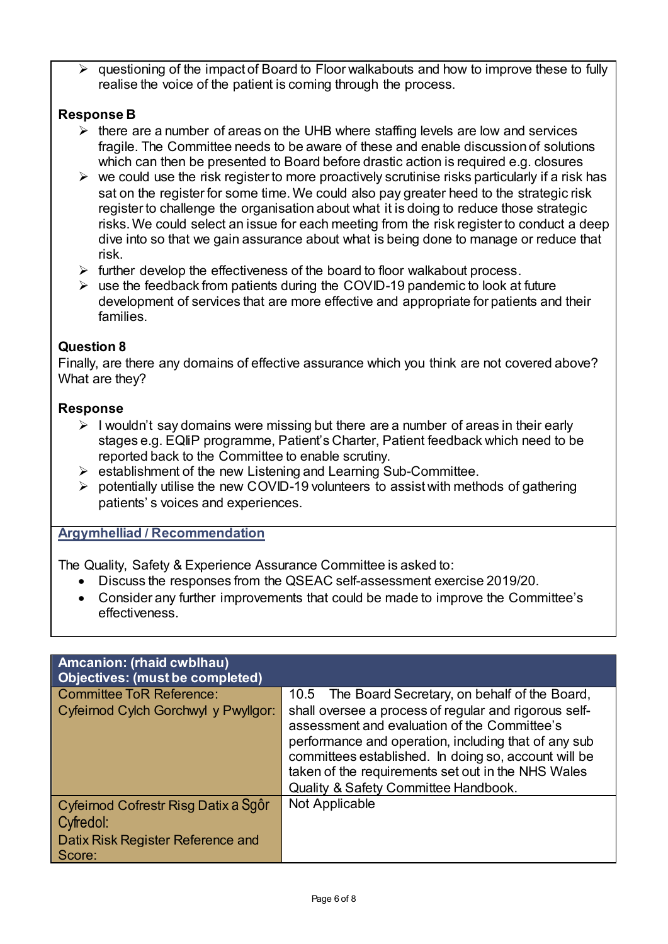$\triangleright$  questioning of the impact of Board to Floor walkabouts and how to improve these to fully realise the voice of the patient is coming through the process.

## **Response B**

- $\triangleright$  there are a number of areas on the UHB where staffing levels are low and services fragile. The Committee needs to be aware of these and enable discussion of solutions which can then be presented to Board before drastic action is required e.g. closures
- $\triangleright$  we could use the risk register to more proactively scrutinise risks particularly if a risk has sat on the register for some time. We could also pay greater heed to the strategic risk register to challenge the organisation about what it is doing to reduce those strategic risks. We could select an issue for each meeting from the risk register to conduct a deep dive into so that we gain assurance about what is being done to manage or reduce that risk.
- $\triangleright$  further develop the effectiveness of the board to floor walkabout process.
- $\triangleright$  use the feedback from patients during the COVID-19 pandemic to look at future development of services that are more effective and appropriate for patients and their families.

# **Question 8**

Finally, are there any domains of effective assurance which you think are not covered above? What are they?

### **Response**

- $\triangleright$  I wouldn't say domains were missing but there are a number of areas in their early stages e.g. EQIiP programme, Patient's Charter, Patient feedback which need to be reported back to the Committee to enable scrutiny.
- $\triangleright$  establishment of the new Listening and Learning Sub-Committee.
- $\triangleright$  potentially utilise the new COVID-19 volunteers to assist with methods of gathering patients' s voices and experiences.

### **Argymhelliad / Recommendation**

The Quality, Safety & Experience Assurance Committee is asked to:

- Discuss the responses from the QSEAC self-assessment exercise 2019/20.
- Consider any further improvements that could be made to improve the Committee's effectiveness.

| Amcanion: (rhaid cwblhau)<br><b>Objectives: (must be completed)</b>                              |                                                                                                                                                                                                                                                                                                                     |
|--------------------------------------------------------------------------------------------------|---------------------------------------------------------------------------------------------------------------------------------------------------------------------------------------------------------------------------------------------------------------------------------------------------------------------|
| <b>Committee ToR Reference:</b>                                                                  | 10.5 The Board Secretary, on behalf of the Board,                                                                                                                                                                                                                                                                   |
| Cyfeirnod Cylch Gorchwyl y Pwyllgor:                                                             | shall oversee a process of regular and rigorous self-<br>assessment and evaluation of the Committee's<br>performance and operation, including that of any sub<br>committees established. In doing so, account will be<br>taken of the requirements set out in the NHS Wales<br>Quality & Safety Committee Handbook. |
| Cyfeirnod Cofrestr Risg Datix a Sgôr<br>Cyfredol:<br>Datix Risk Register Reference and<br>Score: | Not Applicable                                                                                                                                                                                                                                                                                                      |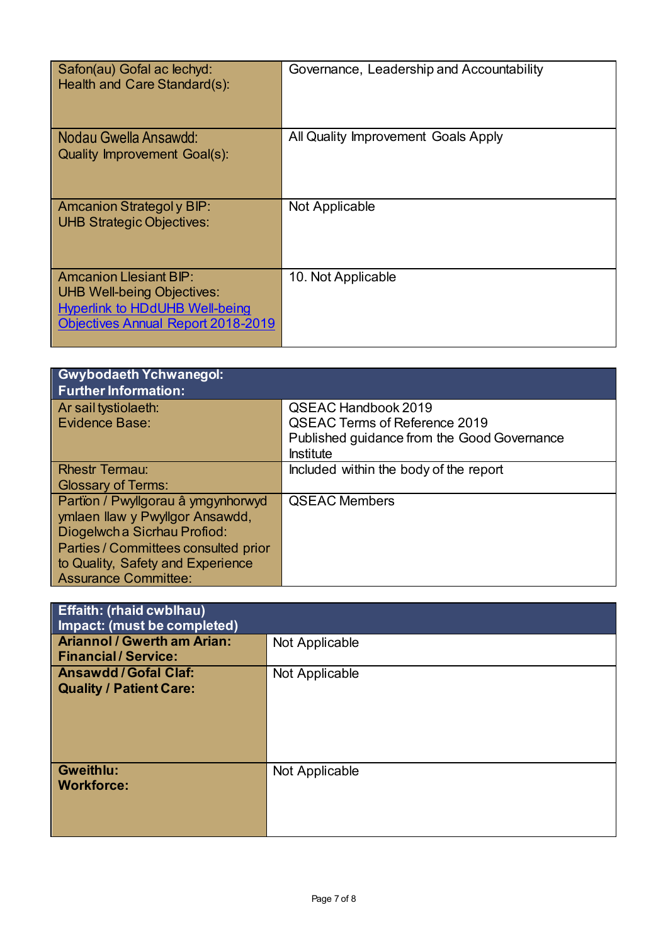| Safon(au) Gofal ac lechyd:<br>Health and Care Standard(s):                                                                                               | Governance, Leadership and Accountability |
|----------------------------------------------------------------------------------------------------------------------------------------------------------|-------------------------------------------|
| Nodau Gwella Ansawdd:<br>Quality Improvement Goal(s):                                                                                                    | All Quality Improvement Goals Apply       |
| <b>Amcanion Strategoly BIP:</b><br><b>UHB Strategic Objectives:</b>                                                                                      | Not Applicable                            |
| <b>Amcanion Llesiant BIP:</b><br><b>UHB Well-being Objectives:</b><br><b>Hyperlink to HDdUHB Well-being</b><br><b>Objectives Annual Report 2018-2019</b> | 10. Not Applicable                        |

| <b>Gwybodaeth Ychwanegol:</b><br><b>Further Information:</b>                                                                                                                                                      |                                                                                                                                       |
|-------------------------------------------------------------------------------------------------------------------------------------------------------------------------------------------------------------------|---------------------------------------------------------------------------------------------------------------------------------------|
| Ar sail tystiolaeth:<br>Evidence Base:                                                                                                                                                                            | <b>QSEAC Handbook 2019</b><br><b>QSEAC Terms of Reference 2019</b><br>Published guidance from the Good Governance<br><b>Institute</b> |
| <b>Rhestr Termau:</b><br><b>Glossary of Terms:</b>                                                                                                                                                                | Included within the body of the report                                                                                                |
| Partïon / Pwyllgorau â ymgynhorwyd<br>ymlaen llaw y Pwyllgor Ansawdd,<br>Diogelwch a Sicrhau Profiod:<br>Parties / Committees consulted prior<br>to Quality, Safety and Experience<br><b>Assurance Committee:</b> | <b>QSEAC Members</b>                                                                                                                  |

| <b>Effaith: (rhaid cwblhau)</b><br>Impact: (must be completed)  |                |
|-----------------------------------------------------------------|----------------|
| <b>Ariannol / Gwerth am Arian:</b><br><b>Financial/Service:</b> | Not Applicable |
| <b>Ansawdd/Gofal Claf:</b><br><b>Quality / Patient Care:</b>    | Not Applicable |
| <b>Gweithlu:</b><br><b>Workforce:</b>                           | Not Applicable |